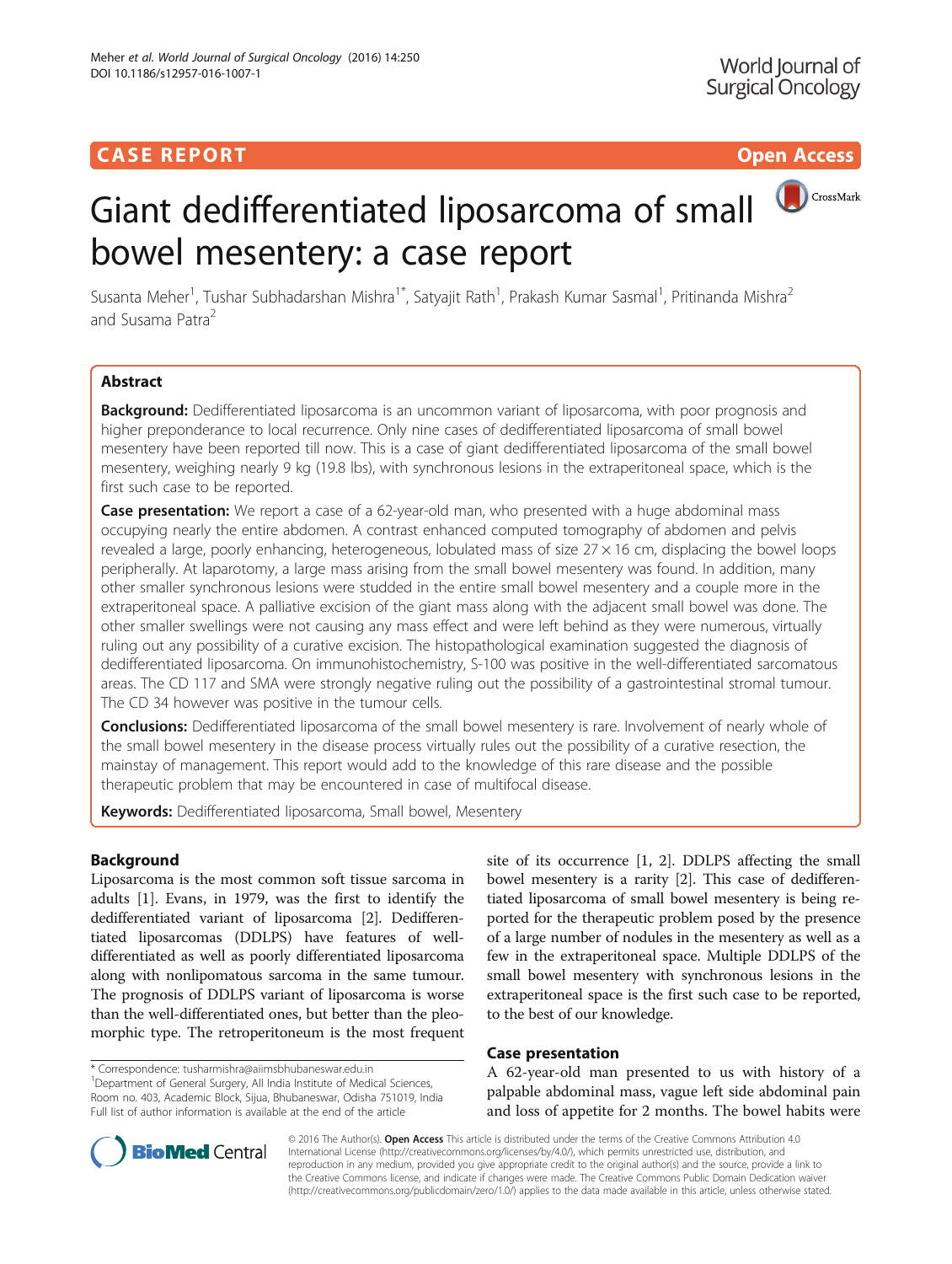## **CASE REPORT CASE REPORT** And the contract of the contract of the contract of the contract of the contract of the contract of the contract of the contract of the contract of the contract of the contract of the contract of

# CrossMark Giant dedifferentiated liposarcoma of small bowel mesentery: a case report

Susanta Meher<sup>1</sup>, Tushar Subhadarshan Mishra<sup>1\*</sup>, Satyajit Rath<sup>1</sup>, Prakash Kumar Sasmal<sup>1</sup>, Pritinanda Mishra<sup>2</sup> and Susama Patra<sup>2</sup>

## Abstract

**Background:** Dedifferentiated liposarcoma is an uncommon variant of liposarcoma, with poor prognosis and higher preponderance to local recurrence. Only nine cases of dedifferentiated liposarcoma of small bowel mesentery have been reported till now. This is a case of giant dedifferentiated liposarcoma of the small bowel mesentery, weighing nearly 9 kg (19.8 lbs), with synchronous lesions in the extraperitoneal space, which is the first such case to be reported.

Case presentation: We report a case of a 62-year-old man, who presented with a huge abdominal mass occupying nearly the entire abdomen. A contrast enhanced computed tomography of abdomen and pelvis revealed a large, poorly enhancing, heterogeneous, lobulated mass of size 27 × 16 cm, displacing the bowel loops peripherally. At laparotomy, a large mass arising from the small bowel mesentery was found. In addition, many other smaller synchronous lesions were studded in the entire small bowel mesentery and a couple more in the extraperitoneal space. A palliative excision of the giant mass along with the adjacent small bowel was done. The other smaller swellings were not causing any mass effect and were left behind as they were numerous, virtually ruling out any possibility of a curative excision. The histopathological examination suggested the diagnosis of dedifferentiated liposarcoma. On immunohistochemistry, S-100 was positive in the well-differentiated sarcomatous areas. The CD 117 and SMA were strongly negative ruling out the possibility of a gastrointestinal stromal tumour. The CD 34 however was positive in the tumour cells.

**Conclusions:** Dedifferentiated liposarcoma of the small bowel mesentery is rare. Involvement of nearly whole of the small bowel mesentery in the disease process virtually rules out the possibility of a curative resection, the mainstay of management. This report would add to the knowledge of this rare disease and the possible therapeutic problem that may be encountered in case of multifocal disease.

Keywords: Dedifferentiated liposarcoma, Small bowel, Mesentery

## Background

Liposarcoma is the most common soft tissue sarcoma in adults [[1\]](#page-3-0). Evans, in 1979, was the first to identify the dedifferentiated variant of liposarcoma [\[2](#page-3-0)]. Dedifferentiated liposarcomas (DDLPS) have features of welldifferentiated as well as poorly differentiated liposarcoma along with nonlipomatous sarcoma in the same tumour. The prognosis of DDLPS variant of liposarcoma is worse than the well-differentiated ones, but better than the pleomorphic type. The retroperitoneum is the most frequent

\* Correspondence: [tusharmishra@aiimsbhubaneswar.edu.in](mailto:tusharmishra@aiimsbhubaneswar.edu.in) <sup>1</sup>

<sup>1</sup>Department of General Surgery, All India Institute of Medical Sciences, Room no. 403, Academic Block, Sijua, Bhubaneswar, Odisha 751019, India Full list of author information is available at the end of the article



## Case presentation

A 62-year-old man presented to us with history of a palpable abdominal mass, vague left side abdominal pain and loss of appetite for 2 months. The bowel habits were



© 2016 The Author(s). Open Access This article is distributed under the terms of the Creative Commons Attribution 4.0 International License [\(http://creativecommons.org/licenses/by/4.0/](http://creativecommons.org/licenses/by/4.0/)), which permits unrestricted use, distribution, and reproduction in any medium, provided you give appropriate credit to the original author(s) and the source, provide a link to the Creative Commons license, and indicate if changes were made. The Creative Commons Public Domain Dedication waiver [\(http://creativecommons.org/publicdomain/zero/1.0/](http://creativecommons.org/publicdomain/zero/1.0/)) applies to the data made available in this article, unless otherwise stated.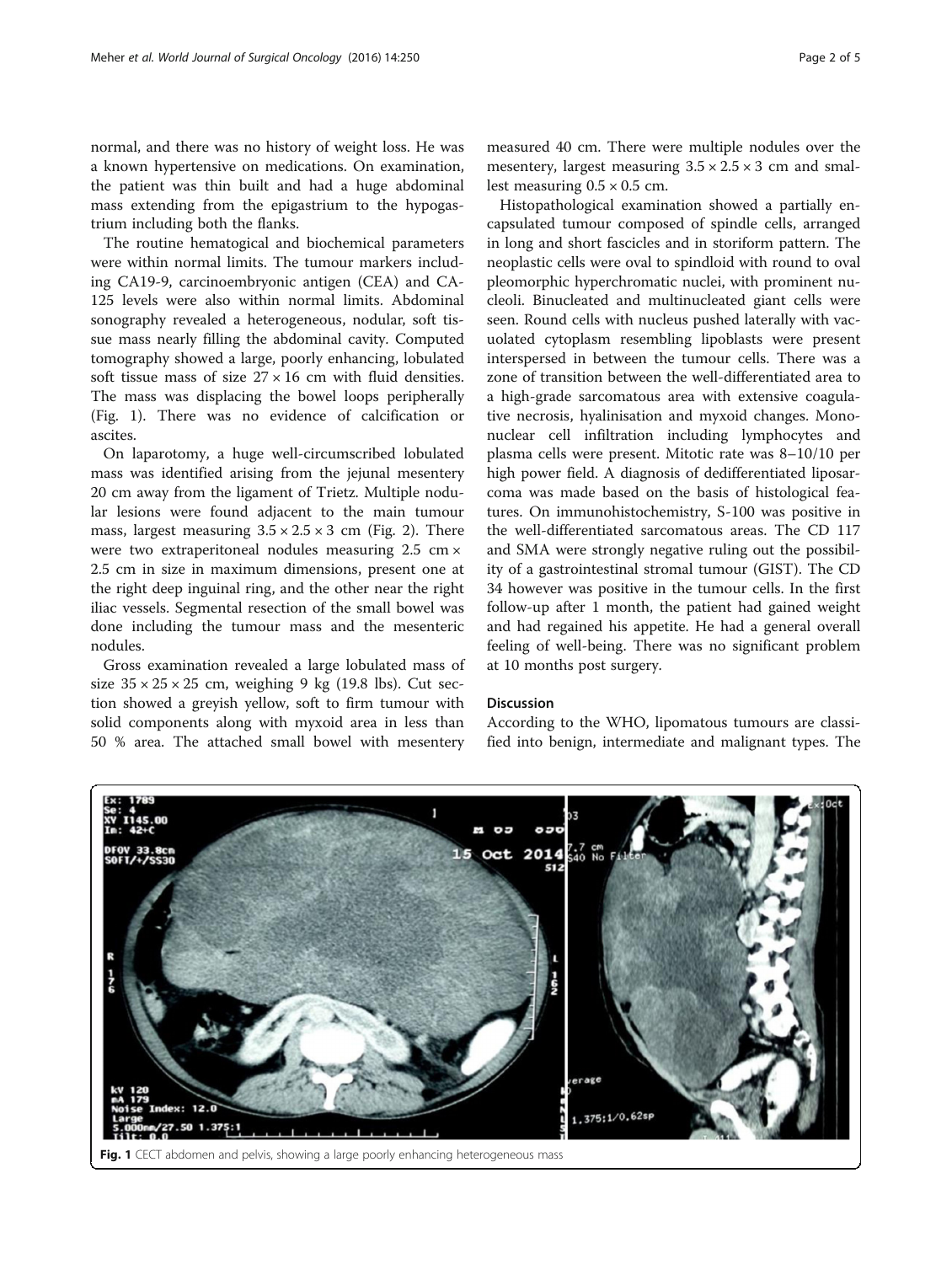normal, and there was no history of weight loss. He was a known hypertensive on medications. On examination, the patient was thin built and had a huge abdominal mass extending from the epigastrium to the hypogastrium including both the flanks.

The routine hematogical and biochemical parameters were within normal limits. The tumour markers including CA19-9, carcinoembryonic antigen (CEA) and CA-125 levels were also within normal limits. Abdominal sonography revealed a heterogeneous, nodular, soft tissue mass nearly filling the abdominal cavity. Computed tomography showed a large, poorly enhancing, lobulated soft tissue mass of size  $27 \times 16$  cm with fluid densities. The mass was displacing the bowel loops peripherally (Fig. 1). There was no evidence of calcification or ascites.

On laparotomy, a huge well-circumscribed lobulated mass was identified arising from the jejunal mesentery 20 cm away from the ligament of Trietz. Multiple nodular lesions were found adjacent to the main tumour mass, largest measuring  $3.5 \times 2.5 \times 3$  cm (Fig. [2\)](#page-2-0). There were two extraperitoneal nodules measuring 2.5 cm × 2.5 cm in size in maximum dimensions, present one at the right deep inguinal ring, and the other near the right iliac vessels. Segmental resection of the small bowel was done including the tumour mass and the mesenteric nodules.

Gross examination revealed a large lobulated mass of size  $35 \times 25 \times 25$  cm, weighing 9 kg (19.8 lbs). Cut section showed a greyish yellow, soft to firm tumour with solid components along with myxoid area in less than 50 % area. The attached small bowel with mesentery

measured 40 cm. There were multiple nodules over the mesentery, largest measuring  $3.5 \times 2.5 \times 3$  cm and smallest measuring  $0.5 \times 0.5$  cm.

Histopathological examination showed a partially encapsulated tumour composed of spindle cells, arranged in long and short fascicles and in storiform pattern. The neoplastic cells were oval to spindloid with round to oval pleomorphic hyperchromatic nuclei, with prominent nucleoli. Binucleated and multinucleated giant cells were seen. Round cells with nucleus pushed laterally with vacuolated cytoplasm resembling lipoblasts were present interspersed in between the tumour cells. There was a zone of transition between the well-differentiated area to a high-grade sarcomatous area with extensive coagulative necrosis, hyalinisation and myxoid changes. Mononuclear cell infiltration including lymphocytes and plasma cells were present. Mitotic rate was 8–10/10 per high power field. A diagnosis of dedifferentiated liposarcoma was made based on the basis of histological features. On immunohistochemistry, S-100 was positive in the well-differentiated sarcomatous areas. The CD 117 and SMA were strongly negative ruling out the possibility of a gastrointestinal stromal tumour (GIST). The CD 34 however was positive in the tumour cells. In the first follow-up after 1 month, the patient had gained weight and had regained his appetite. He had a general overall feeling of well-being. There was no significant problem at 10 months post surgery.

#### Discussion

According to the WHO, lipomatous tumours are classified into benign, intermediate and malignant types. The

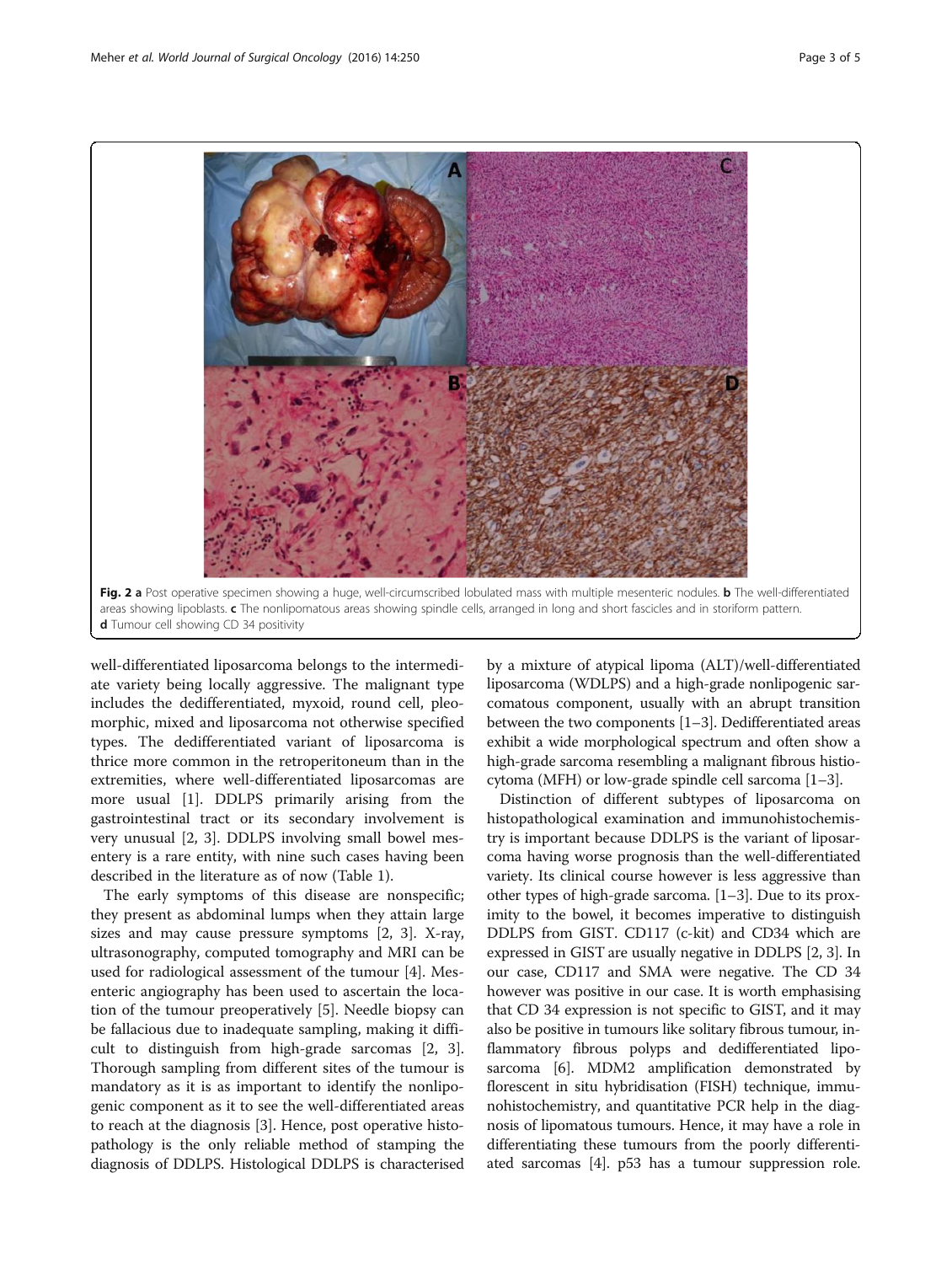<span id="page-2-0"></span>

well-differentiated liposarcoma belongs to the intermediate variety being locally aggressive. The malignant type includes the dedifferentiated, myxoid, round cell, pleomorphic, mixed and liposarcoma not otherwise specified types. The dedifferentiated variant of liposarcoma is thrice more common in the retroperitoneum than in the extremities, where well-differentiated liposarcomas are more usual [[1\]](#page-3-0). DDLPS primarily arising from the gastrointestinal tract or its secondary involvement is very unusual [[2,](#page-3-0) [3\]](#page-4-0). DDLPS involving small bowel mesentery is a rare entity, with nine such cases having been described in the literature as of now (Table [1](#page-3-0)).

The early symptoms of this disease are nonspecific; they present as abdominal lumps when they attain large sizes and may cause pressure symptoms [[2,](#page-3-0) [3\]](#page-4-0). X-ray, ultrasonography, computed tomography and MRI can be used for radiological assessment of the tumour [\[4](#page-4-0)]. Mesenteric angiography has been used to ascertain the location of the tumour preoperatively [[5\]](#page-4-0). Needle biopsy can be fallacious due to inadequate sampling, making it difficult to distinguish from high-grade sarcomas [\[2,](#page-3-0) [3](#page-4-0)]. Thorough sampling from different sites of the tumour is mandatory as it is as important to identify the nonlipogenic component as it to see the well-differentiated areas to reach at the diagnosis [[3\]](#page-4-0). Hence, post operative histopathology is the only reliable method of stamping the diagnosis of DDLPS. Histological DDLPS is characterised

by a mixture of atypical lipoma (ALT)/well-differentiated liposarcoma (WDLPS) and a high-grade nonlipogenic sarcomatous component, usually with an abrupt transition between the two components [\[1](#page-3-0)–[3\]](#page-4-0). Dedifferentiated areas exhibit a wide morphological spectrum and often show a high-grade sarcoma resembling a malignant fibrous histiocytoma (MFH) or low-grade spindle cell sarcoma [[1](#page-3-0)–[3](#page-4-0)].

Distinction of different subtypes of liposarcoma on histopathological examination and immunohistochemistry is important because DDLPS is the variant of liposarcoma having worse prognosis than the well-differentiated variety. Its clinical course however is less aggressive than other types of high-grade sarcoma. [\[1](#page-3-0)–[3\]](#page-4-0). Due to its proximity to the bowel, it becomes imperative to distinguish DDLPS from GIST. CD117 (c-kit) and CD34 which are expressed in GIST are usually negative in DDLPS [[2](#page-3-0), [3](#page-4-0)]. In our case, CD117 and SMA were negative. The CD 34 however was positive in our case. It is worth emphasising that CD 34 expression is not specific to GIST, and it may also be positive in tumours like solitary fibrous tumour, inflammatory fibrous polyps and dedifferentiated liposarcoma [\[6](#page-4-0)]. MDM2 amplification demonstrated by florescent in situ hybridisation (FISH) technique, immunohistochemistry, and quantitative PCR help in the diagnosis of lipomatous tumours. Hence, it may have a role in differentiating these tumours from the poorly differentiated sarcomas [[4](#page-4-0)]. p53 has a tumour suppression role.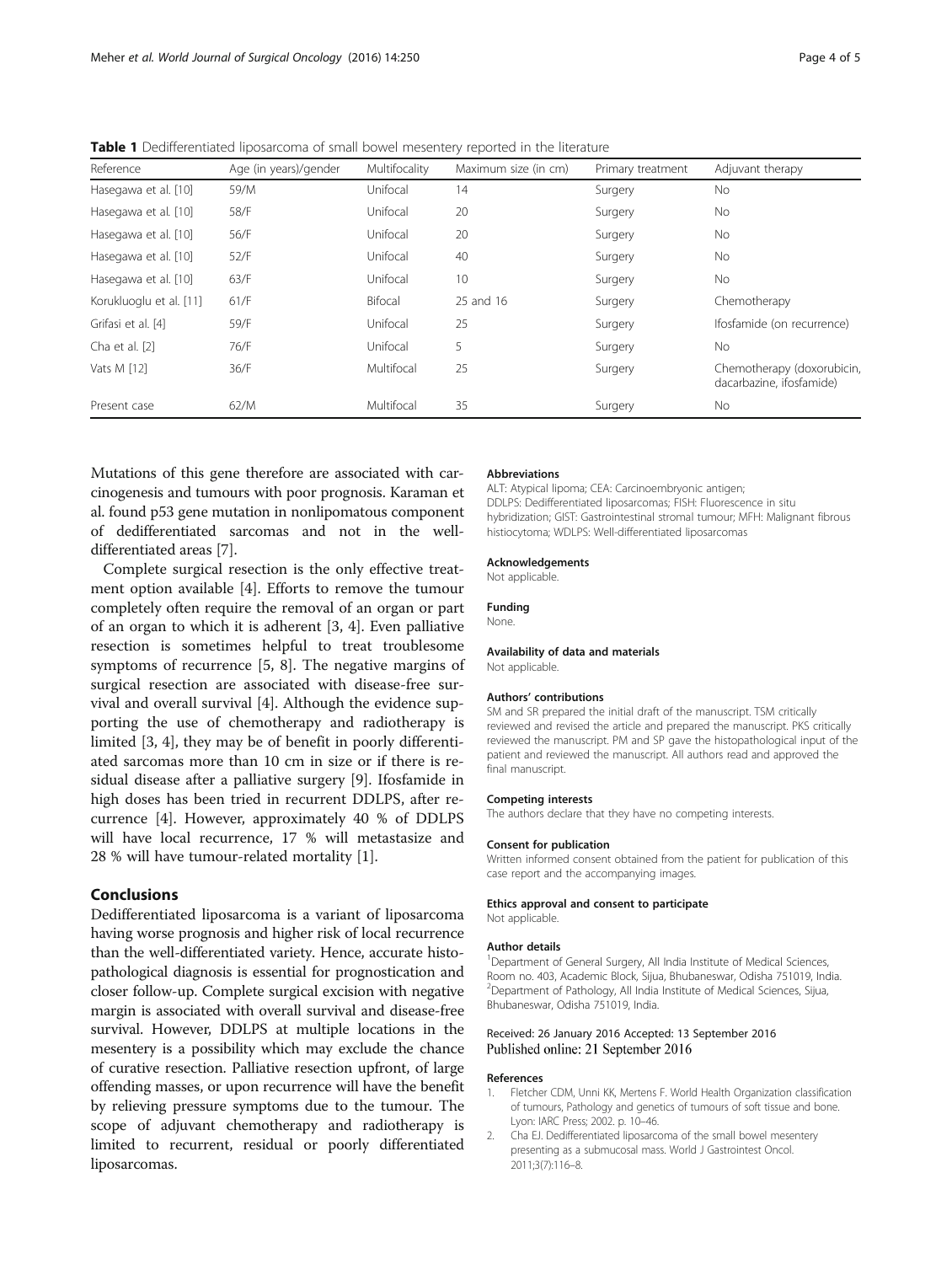<span id="page-3-0"></span>

|  |  | <b>Table 1</b> Dedifferentiated liposarcoma of small bowel mesentery reported in the literature |
|--|--|-------------------------------------------------------------------------------------------------|
|--|--|-------------------------------------------------------------------------------------------------|

| Reference               | Age (in years)/gender | Multifocality | Maximum size (in cm) | Primary treatment | Adjuvant therapy                                       |
|-------------------------|-----------------------|---------------|----------------------|-------------------|--------------------------------------------------------|
| Hasegawa et al. [10]    | 59/M                  | Unifocal      | 14                   | Surgery           | No.                                                    |
| Hasegawa et al. [10]    | 58/F                  | Unifocal      | 20                   | Surgery           | No.                                                    |
| Hasegawa et al. [10]    | 56/F                  | Unifocal      | 20                   | Surgery           | No.                                                    |
| Hasegawa et al. [10]    | 52/F                  | Unifocal      | 40                   | Surgery           | No.                                                    |
| Hasegawa et al. [10]    | 63/F                  | Unifocal      | 10                   | Surgery           | No.                                                    |
| Korukluoglu et al. [11] | 61/F                  | Bifocal       | 25 and 16            | Surgery           | Chemotherapy                                           |
| Grifasi et al. [4]      | 59/F                  | Unifocal      | 25                   | Surgery           | Ifosfamide (on recurrence)                             |
| Cha et al. [2]          | 76/F                  | Unifocal      | 5                    | Surgery           | No.                                                    |
| Vats M [12]             | 36/F                  | Multifocal    | 25                   | Surgery           | Chemotherapy (doxorubicin,<br>dacarbazine, ifosfamide) |
| Present case            | 62/M                  | Multifocal    | 35                   | Surgery           | No.                                                    |

Mutations of this gene therefore are associated with carcinogenesis and tumours with poor prognosis. Karaman et al. found p53 gene mutation in nonlipomatous component of dedifferentiated sarcomas and not in the welldifferentiated areas [\[7](#page-4-0)].

Complete surgical resection is the only effective treatment option available [\[4](#page-4-0)]. Efforts to remove the tumour completely often require the removal of an organ or part of an organ to which it is adherent [[3, 4\]](#page-4-0). Even palliative resection is sometimes helpful to treat troublesome symptoms of recurrence [[5](#page-4-0), [8](#page-4-0)]. The negative margins of surgical resection are associated with disease-free survival and overall survival [[4\]](#page-4-0). Although the evidence supporting the use of chemotherapy and radiotherapy is limited [[3](#page-4-0), [4](#page-4-0)], they may be of benefit in poorly differentiated sarcomas more than 10 cm in size or if there is residual disease after a palliative surgery [[9\]](#page-4-0). Ifosfamide in high doses has been tried in recurrent DDLPS, after recurrence [\[4](#page-4-0)]. However, approximately 40 % of DDLPS will have local recurrence, 17 % will metastasize and 28 % will have tumour-related mortality [1].

## Conclusions

Dedifferentiated liposarcoma is a variant of liposarcoma having worse prognosis and higher risk of local recurrence than the well-differentiated variety. Hence, accurate histopathological diagnosis is essential for prognostication and closer follow-up. Complete surgical excision with negative margin is associated with overall survival and disease-free survival. However, DDLPS at multiple locations in the mesentery is a possibility which may exclude the chance of curative resection. Palliative resection upfront, of large offending masses, or upon recurrence will have the benefit by relieving pressure symptoms due to the tumour. The scope of adjuvant chemotherapy and radiotherapy is limited to recurrent, residual or poorly differentiated liposarcomas.

#### Abbreviations

ALT: Atypical lipoma; CEA: Carcinoembryonic antigen; DDLPS: Dedifferentiated liposarcomas; FISH: Fluorescence in situ hybridization; GIST: Gastrointestinal stromal tumour; MFH: Malignant fibrous histiocytoma; WDLPS: Well-differentiated liposarcomas

#### Acknowledgements

Not applicable.

#### Funding

None.

#### Availability of data and materials

Not applicable.

#### Authors' contributions

SM and SR prepared the initial draft of the manuscript. TSM critically reviewed and revised the article and prepared the manuscript. PKS critically reviewed the manuscript. PM and SP gave the histopathological input of the patient and reviewed the manuscript. All authors read and approved the final manuscript.

#### Competing interests

The authors declare that they have no competing interests.

#### Consent for publication

Written informed consent obtained from the patient for publication of this case report and the accompanying images.

### Ethics approval and consent to participate

Not applicable.

#### Author details

<sup>1</sup>Department of General Surgery, All India Institute of Medical Sciences, Room no. 403, Academic Block, Sijua, Bhubaneswar, Odisha 751019, India. <sup>2</sup>Department of Pathology, All India Institute of Medical Sciences, Sijua, Bhubaneswar, Odisha 751019, India.

#### Received: 26 January 2016 Accepted: 13 September 2016 Published online: 21 September 2016

#### References

- 1. Fletcher CDM, Unni KK, Mertens F. World Health Organization classification of tumours, Pathology and genetics of tumours of soft tissue and bone. Lyon: IARC Press; 2002. p. 10–46.
- 2. Cha EJ. Dedifferentiated liposarcoma of the small bowel mesentery presenting as a submucosal mass. World J Gastrointest Oncol. 2011;3(7):116–8.